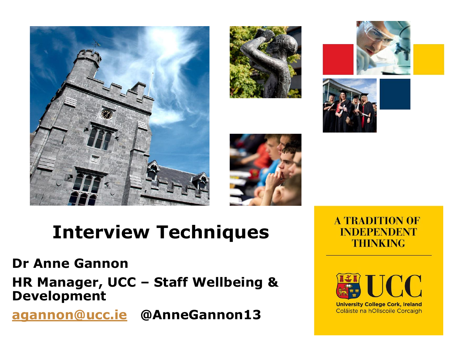









# **Interview Techniques**

#### **Dr Anne Gannon**

**HR Manager, UCC – Staff Wellbeing & Development**

**[agannon@ucc.ie](mailto:agannon@ucc.ie) @AnneGannon13**

**A TRADITION OF INDEPENDENT THINKING** 



**University College Cork, Ireland** Coláiste na hOllscoile Corcaigh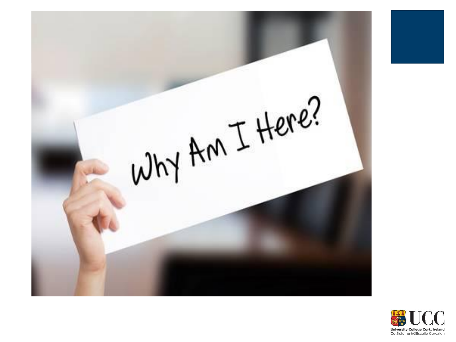

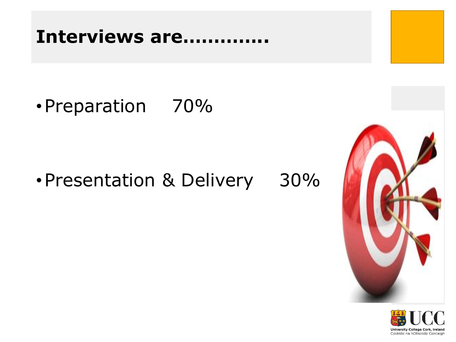#### **Interviews are…………..**

•Preparation 70%

#### •Presentation & Delivery 30%



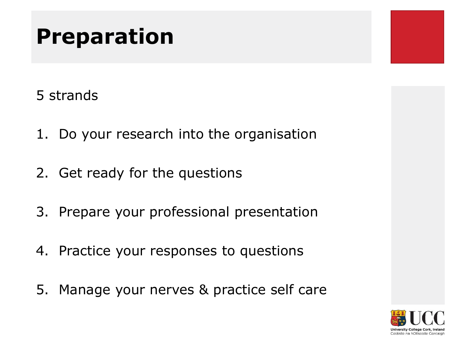### **Preparation**

- 5 strands
- 1. Do your research into the organisation
- 2. Get ready for the questions
- 3. Prepare your professional presentation
- 4. Practice your responses to questions
- 5. Manage your nerves & practice self care

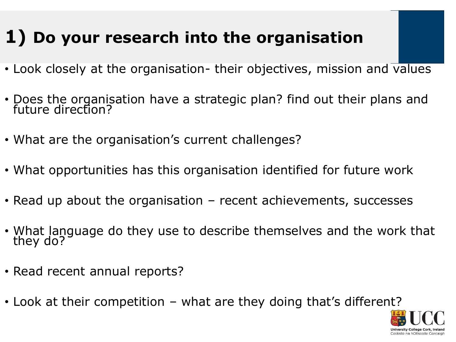#### **1) Do your research into the organisation**

- Look closely at the organisation- their objectives, mission and values
- Does the organisation have a strategic plan? find out their plans and future direction?
- What are the organisation's current challenges?
- What opportunities has this organisation identified for future work
- Read up about the organisation recent achievements, successes
- What language do they use to describe themselves and the work that they do?
- Read recent annual reports?
- Look at their competition what are they doing that's different?

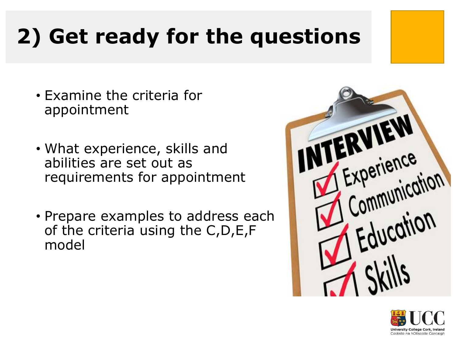## **2) Get ready for the questions**

- Examine the criteria for appointment
- What experience, skills and abilities are set out as requirements for appointment
- Prepare examples to address each of the criteria using the C,D,E,F model



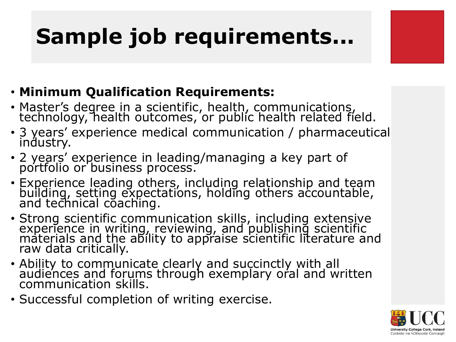## **Sample job requirements...**

- **Minimum Qualification Requirements:**
- Master's degree in a scientific, health, communications, technology, health outcomes, or public health related field.
- 3 years' experience medical communication / pharmaceutical industry.
- 2 years' experience in leading/managing a key part of portfolio or business process.
- Experience leading others, including relationship and team building, setting expectations, holding others accountable, and technical coaching.
- Strong scientific communication skills, including extensive experience in writing, reviewing, and publishing scientific materials and the ability to appraise scientific literature and raw data critically.
- Ability to communicate clearly and succinctly with all audiences and forums through exemplary oral and written communication skills.
- Successful completion of writing exercise.

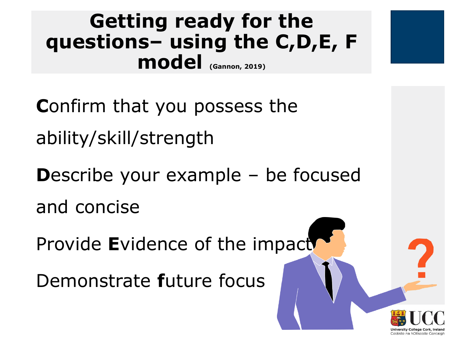#### **Getting ready for the questions– using the C,D,E, F model (Gannon, 2019)**

**C**onfirm that you possess the ability/skill/strength

**D**escribe your example – be focused and concise

Provide Evidence of the impact

Demonstrate **f**uture focus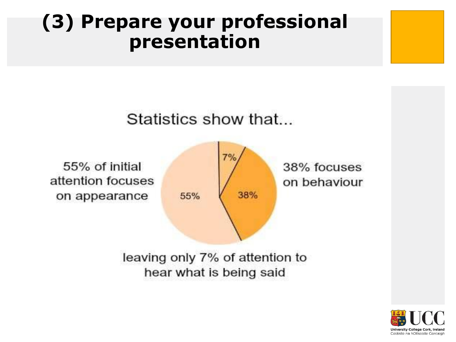#### **(3) Prepare your professional presentation**



leaving only 7% of attention to hear what is being said

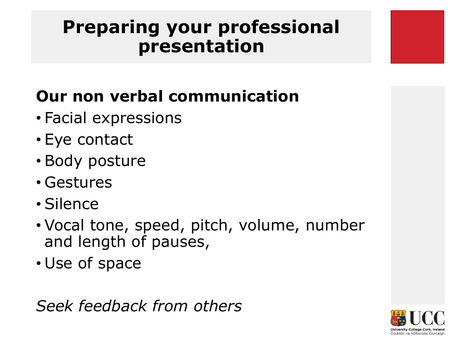#### **Preparing your professional presentation**

#### **Our non verbal communication**

- Facial expressions
- Eye contact
- Body posture
- Gestures
- Silence
- Vocal tone, speed, pitch, volume, number and length of pauses,
- Use of space

*Seek feedback from others*

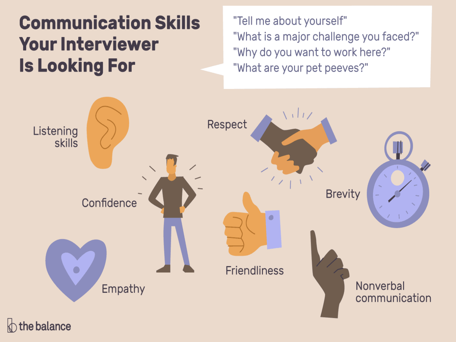#### **Communication Skills Your Interviewer Is Looking For**

"Tell me about yourself" "What is a major challenge you faced?" "Why do you want to work here?" "What are your pet peeves?"



the balance  $\mathbb{R}$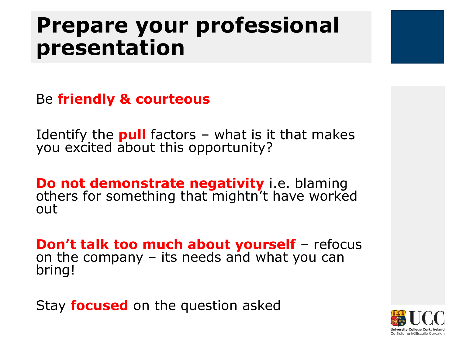### **Prepare your professional presentation**



Identify the **pull** factors – what is it that makes you excited about this opportunity?

**Do not demonstrate negativity** i.e. blaming others for something that mightn't have worked out

**Don't talk too much about yourself** – refocus on the company – its needs and what you can bring!

Stay **focused** on the question asked

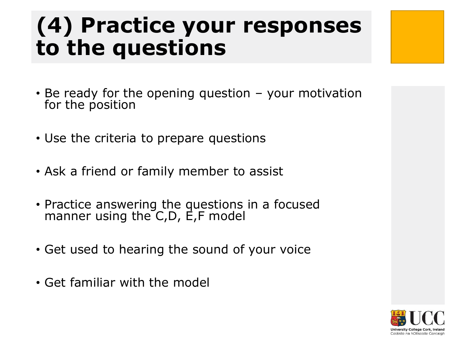## **(4) Practice your responses to the questions**

- Be ready for the opening question your motivation for the position
- Use the criteria to prepare questions
- Ask a friend or family member to assist
- Practice answering the questions in a focused manner using the C,D, E,F model
- Get used to hearing the sound of your voice
- Get familiar with the model

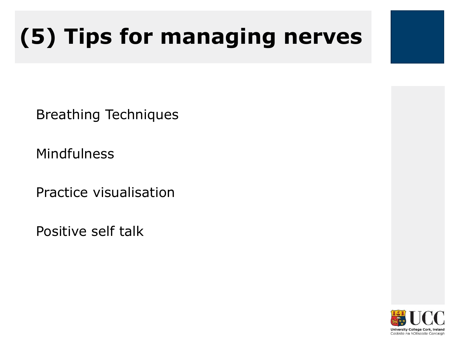## **(5) Tips for managing nerves**

Breathing Techniques

Mindfulness

Practice visualisation

Positive self talk

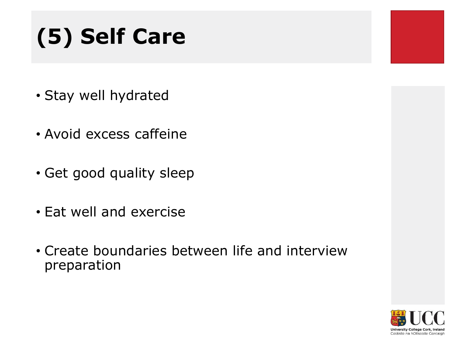## **(5) Self Care**

- Stay well hydrated
- Avoid excess caffeine
- Get good quality sleep
- Eat well and exercise
- Create boundaries between life and interview preparation